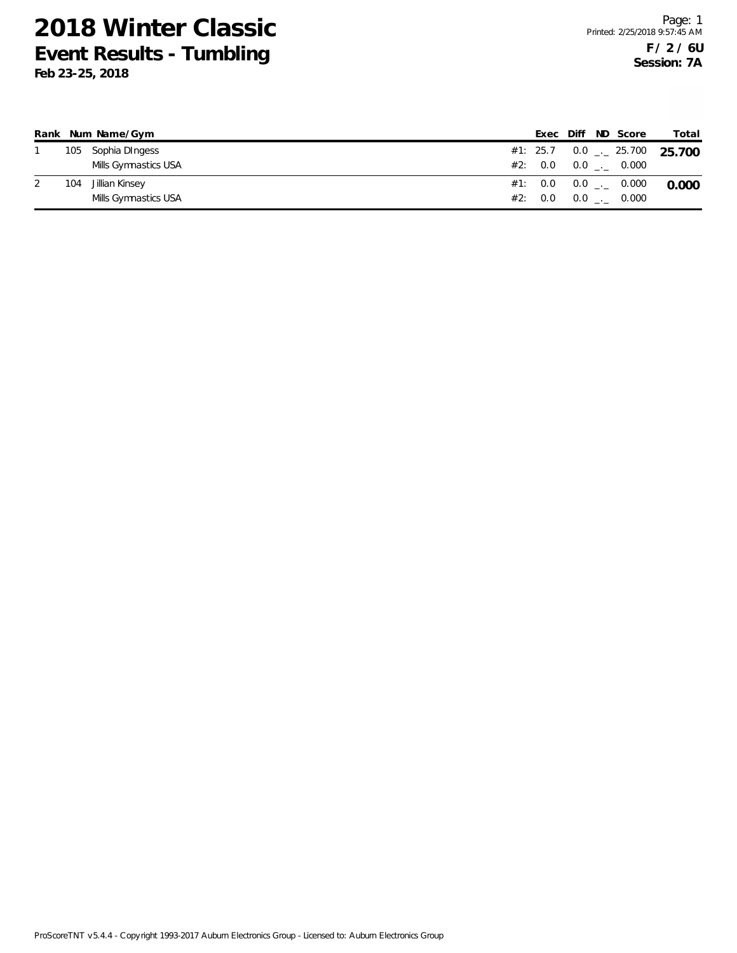|     | Rank Num Name/Gym    |  |  | Exec Diff ND Score            | Total                                    |
|-----|----------------------|--|--|-------------------------------|------------------------------------------|
|     | 105 Sophia DIngess   |  |  |                               | #1: 25.7 0.0 $\frac{1}{2}$ 25.700 25.700 |
|     | Mills Gymnastics USA |  |  | #2: $0.0$ $0.0$ $1.0$ $0.000$ |                                          |
| 104 | Jillian Kinsey       |  |  | #1: 0.0 0.0 _._ 0.000         | 0.000                                    |
|     | Mills Gymnastics USA |  |  | #2: $0.0$ $0.0$ $1.0$ $0.000$ |                                          |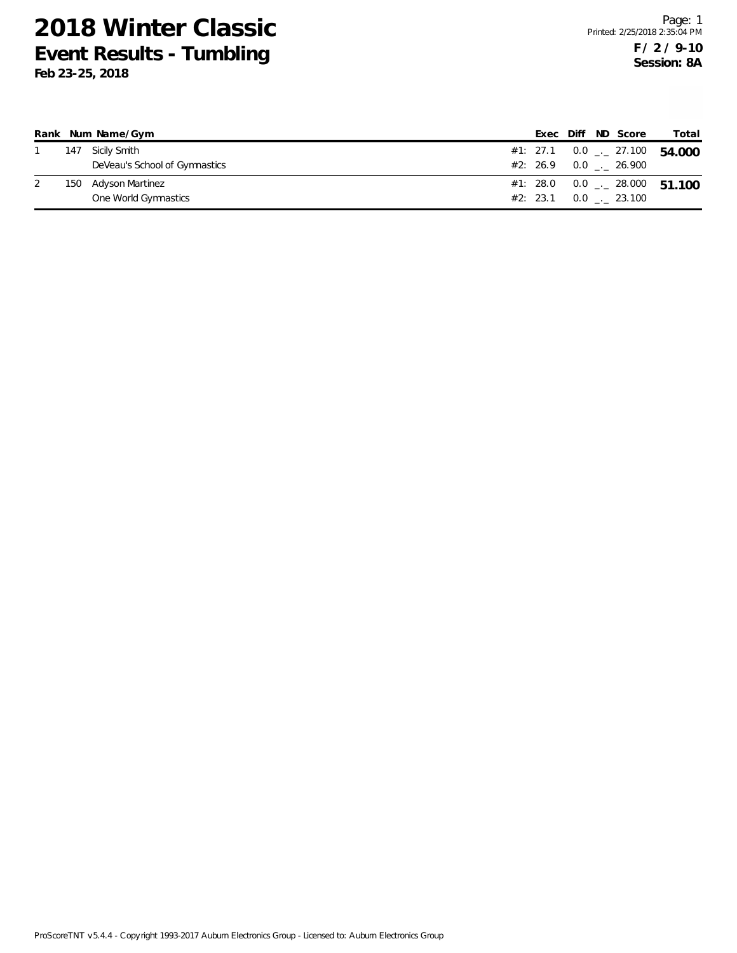|  | Rank Num Name/Gym             |  |  | Exec Diff ND Score           | Total                                      |
|--|-------------------------------|--|--|------------------------------|--------------------------------------------|
|  | 147 Sicily Smith              |  |  |                              | #1: 27.1  0.0 $\frac{1}{2}$ 27.100  54.000 |
|  | DeVeau's School of Gymnastics |  |  | $#2: 26.9 0.0$ $-26.900$     |                                            |
|  | 150 Adyson Martinez           |  |  |                              | #1: 28.0  0.0 $\ldots$ 28.000  51.100      |
|  | One World Gymnastics          |  |  | $#2: 23.1 \t 0.0 \t  23.100$ |                                            |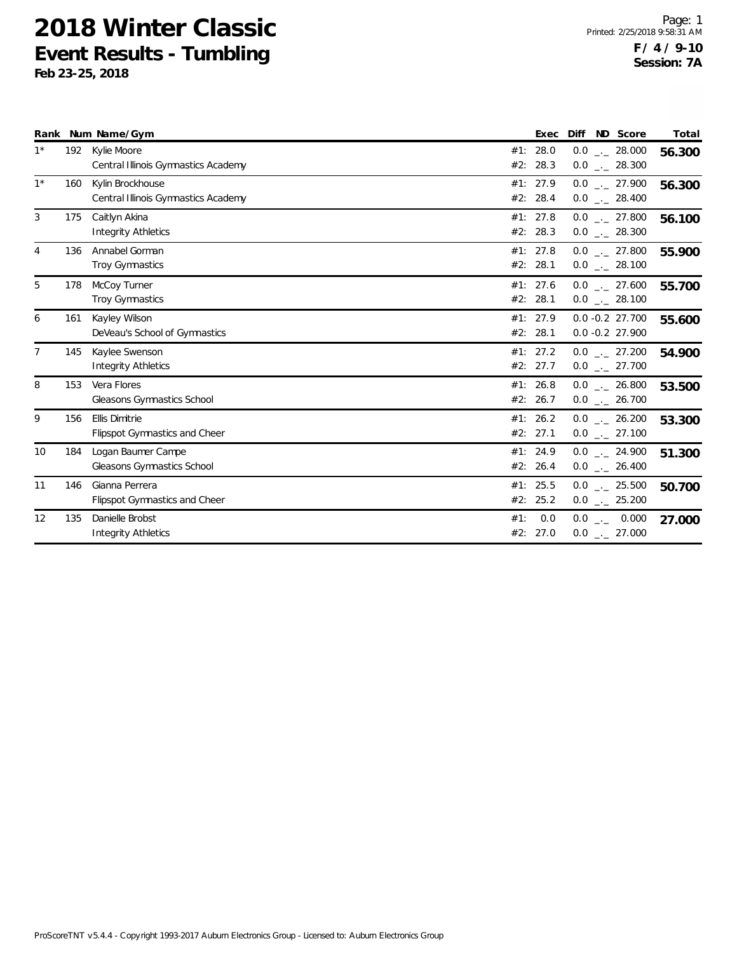|                |     | Rank Num Name/Gym                                             |     | Exec                 | ND Score<br>Diff                         | Total  |
|----------------|-----|---------------------------------------------------------------|-----|----------------------|------------------------------------------|--------|
| $1^*$          |     | 192 Kylie Moore<br>Central Illinois Gymnastics Academy        |     | #1: 28.0<br>#2: 28.3 | $0.0$ _._ 28.000<br>$0.0$ _ 28.300       | 56.300 |
| $1^*$          | 160 | Kylin Brockhouse<br>Central Illinois Gymnastics Academy       |     | #1: 27.9<br>#2: 28.4 | $0.0$ _ 27.900<br>$0.0$ _ 28.400         | 56.300 |
| 3              | 175 | Caitlyn Akina<br>Integrity Athletics                          |     | #1: 27.8<br>#2: 28.3 | $0.0$ _ 27.800<br>$0.0$ _ 28.300         | 56.100 |
| 4              | 136 | Annabel Gorman<br><b>Troy Gymnastics</b>                      |     | #1: 27.8<br>#2: 28.1 | $0.0$ _._ 27.800<br>$0.0$ _._ 28.100     | 55.900 |
| 5              | 178 | McCoy Turner<br>Troy Gymnastics                               |     | #1: 27.6<br>#2: 28.1 | $0.0$ _ 27.600<br>$0.0$ _._ 28.100       | 55.700 |
| 6              | 161 | Kayley Wilson<br>DeVeau's School of Gymnastics                |     | #1: 27.9<br>#2: 28.1 | $0.0 - 0.2 27.700$<br>$0.0 - 0.2 27.900$ | 55.600 |
| $\overline{7}$ | 145 | Kaylee Swenson<br>Integrity Athletics                         |     | #1: 27.2<br>#2: 27.7 | $0.0$ _._ 27.200<br>$0.0$ _ 27.700       | 54.900 |
| 8              | 153 | Vera Flores<br>Gleasons Gymnastics School                     |     | #1: 26.8<br>#2: 26.7 | $0.0$ _ 26.800<br>$0.0$ _ 26.700         | 53.500 |
| 9              | 156 | <b>Ellis Dimitrie</b><br><b>Flipspot Gymnastics and Cheer</b> |     | #1: 26.2<br>#2: 27.1 | $0.0$ _._ 26.200<br>$0.0$ _ 27.100       | 53.300 |
| 10             | 184 | Logan Baumer Campe<br>Gleasons Gymnastics School              |     | #1: 24.9<br>#2: 26.4 | $0.0$ _._ 24.900<br>$0.0$ _ 26.400       | 51.300 |
| 11             | 146 | Gianna Perrera<br><b>Flipspot Gymnastics and Cheer</b>        |     | #1: 25.5<br>#2: 25.2 | $0.0$ _._ 25.500<br>$0.0$ _ 25.200       | 50.700 |
| 12             | 135 | Danielle Brobst<br><b>Integrity Athletics</b>                 | #1: | 0.0<br>#2: 27.0      | $0.0$ _._ 0.000<br>$0.0$ _ 27.000        | 27.000 |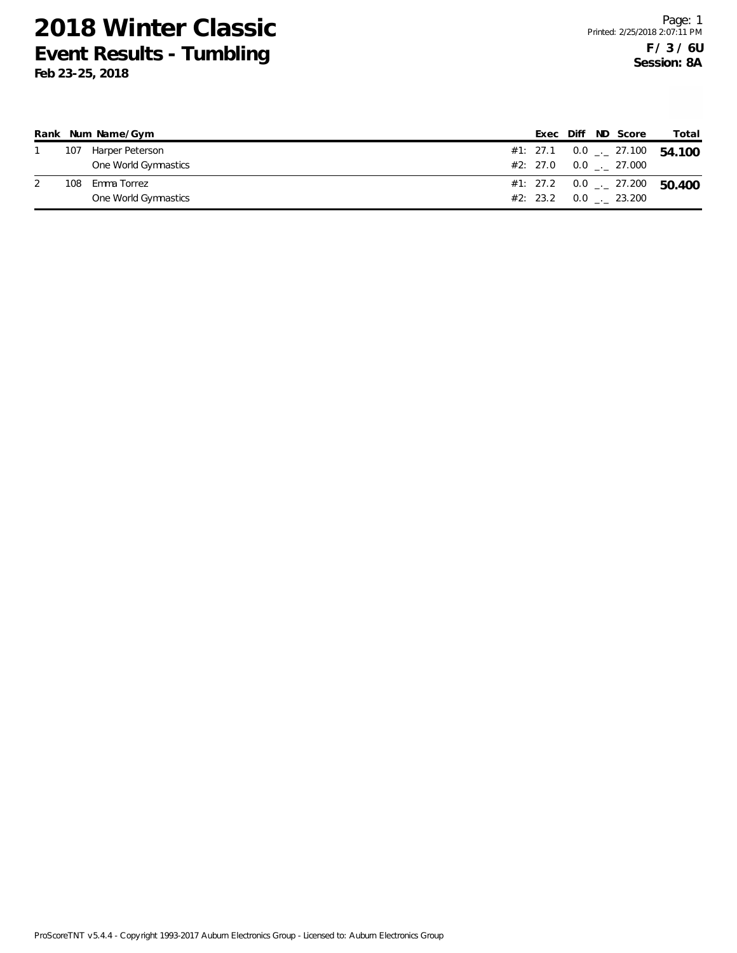|     | Rank Num Name/Gym    |  |  | Exec Diff ND Score            | Total                                        |
|-----|----------------------|--|--|-------------------------------|----------------------------------------------|
| 107 | Harper Peterson      |  |  |                               | #1: 27.1  0.0 $\frac{1}{2}$ 27.100  54.100   |
|     | One World Gymnastics |  |  | $#2: 27.0 0.0$ $-.27.000$     |                                              |
| 108 | Emma Torrez          |  |  |                               | #1: 27.2 $0.0$ $_{\leftarrow}$ 27.200 50.400 |
|     | One World Gymnastics |  |  | $#2: 23.2 \t 0.0 \t . 23.200$ |                                              |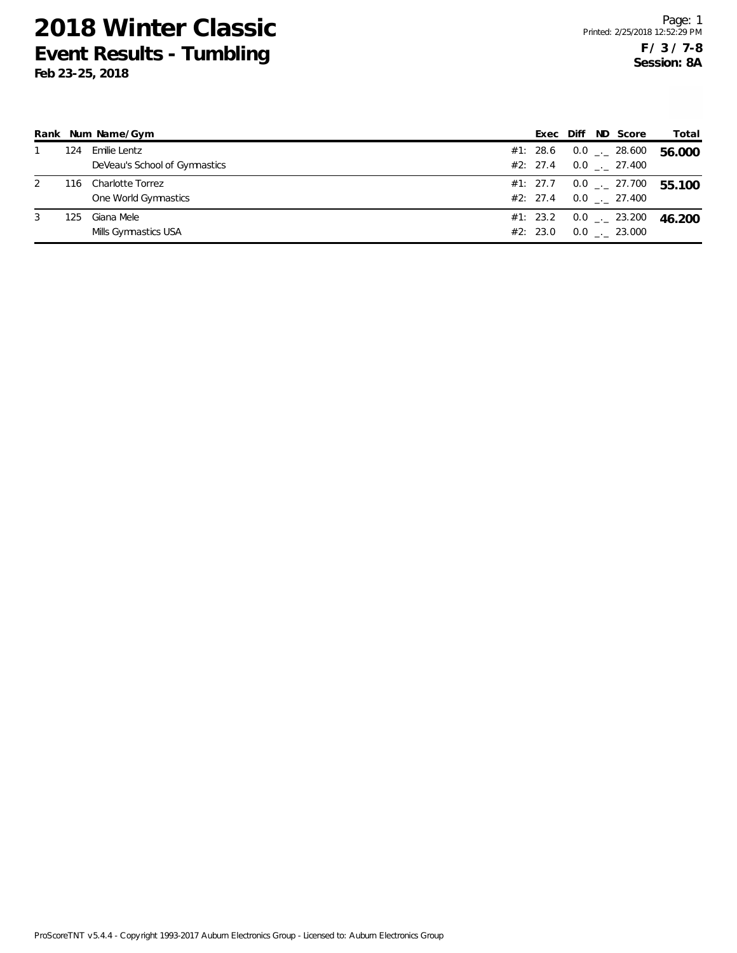|   |     | Rank Num Name/Gym             |          |  | Exec Diff ND Score           | Total                      |
|---|-----|-------------------------------|----------|--|------------------------------|----------------------------|
|   | 124 | Emilie Lentz                  | #1: 28.6 |  | $0.0$ _ $-$ 28.600           | 56.000                     |
|   |     | DeVeau's School of Gymnastics | #2: 27.4 |  | $0.0$ $_{\leftarrow}$ 27.400 |                            |
| 2 | 116 | Charlotte Torrez              | #1: 27.7 |  |                              | $0.0$ $_{-}$ 27.700 55.100 |
|   |     | One World Gymnastics          | #2: 27.4 |  | $0.0$ . 27.400               |                            |
| 3 | 125 | Giana Mele                    | #1: 23.2 |  | $0.0$ $_{-}$ 23.200          | 46.200                     |
|   |     | Mills Gymnastics USA          | #2: 23.0 |  | $0.0$ _._ 23.000             |                            |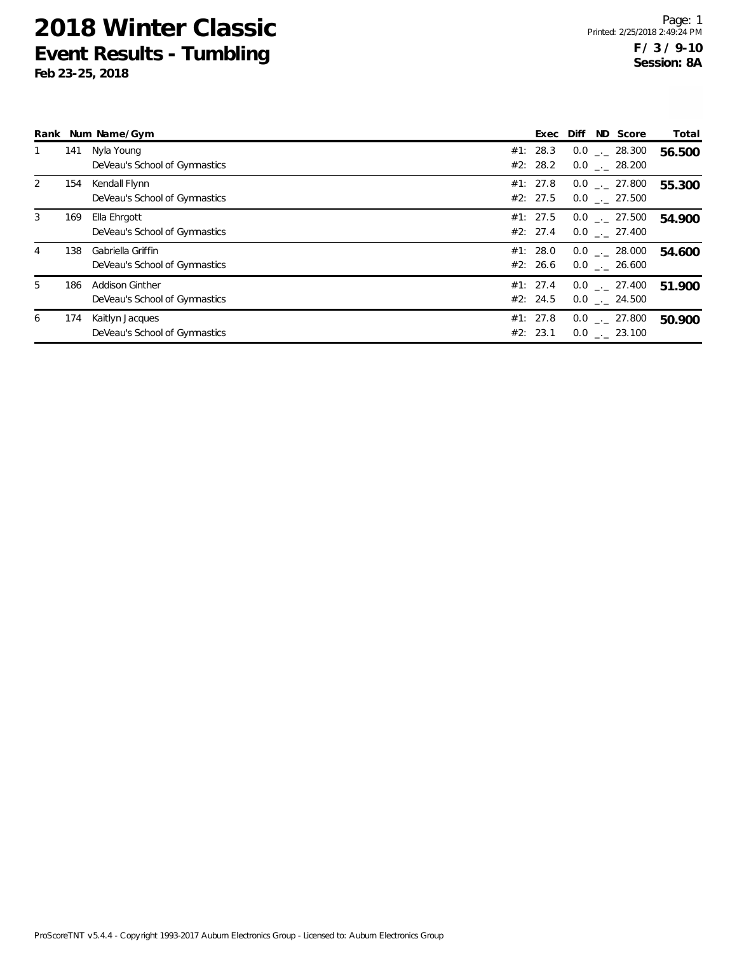|   |     | Rank Num Name/Gym                                       |                      | ND Score<br>Exec Diff                | Total  |
|---|-----|---------------------------------------------------------|----------------------|--------------------------------------|--------|
|   | 141 | Nyla Young<br>DeVeau's School of Gymnastics             | #1: 28.3<br>#2: 28.2 | $0.0$ _. 28.300<br>$0.0$ _._ 28.200  | 56.500 |
| 2 | 154 | Kendall Flynn<br>DeVeau's School of Gymnastics          | #1: 27.8<br>#2: 27.5 | $0.0$ _._ 27.800<br>$0.0$ _. 27.500  | 55.300 |
| 3 | 169 | Ella Ehrgott<br>DeVeau's School of Gymnastics           | #1: 27.5<br>#2: 27.4 | $0.0$ _._ 27.500<br>$0.0$ . 27.400   | 54.900 |
| 4 | 138 | Gabriella Griffin<br>DeVeau's School of Gymnastics      | #1: 28.0<br>#2: 26.6 | $0.0$ _._ 28.000<br>$0.0$ _._ 26.600 | 54.600 |
| 5 | 186 | <b>Addison Ginther</b><br>DeVeau's School of Gymnastics | #1: 27.4<br>#2: 24.5 | $0.0$ _. 27.400<br>$0.0$ _._ 24.500  | 51.900 |
| 6 | 174 | Kaitlyn Jacques<br>DeVeau's School of Gymnastics        | #1: 27.8<br>#2: 23.1 | $0.0$ _._ 27.800<br>$0.0$ _. 23.100  | 50.900 |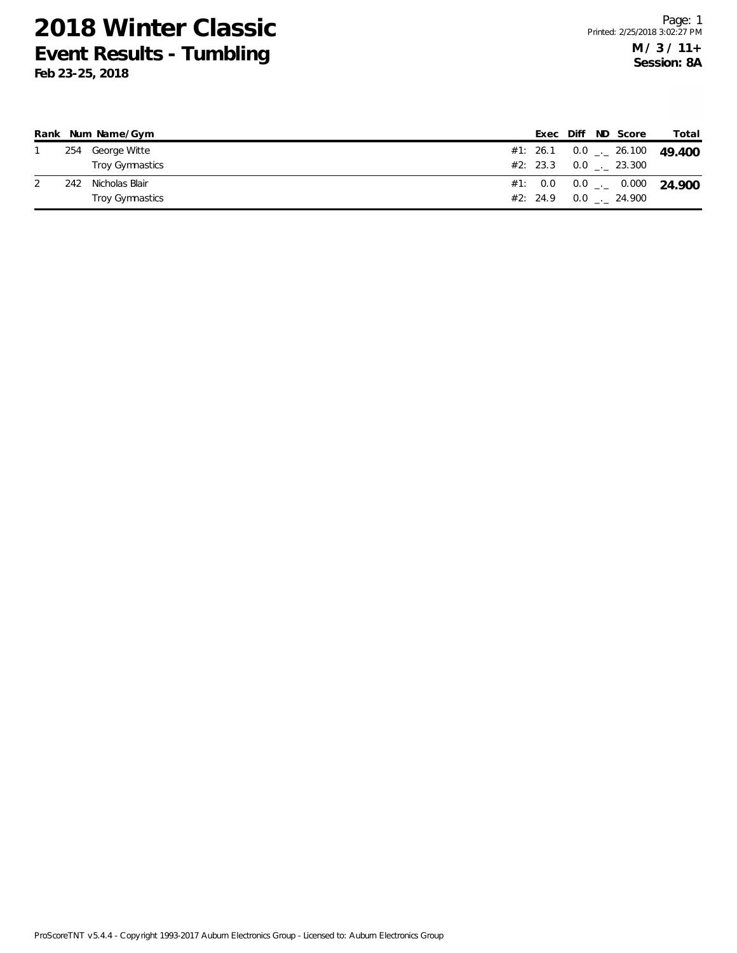|     | Rank Num Name/Gym |  |  | Exec Diff ND Score            | Total                                    |
|-----|-------------------|--|--|-------------------------------|------------------------------------------|
|     | 254 George Witte  |  |  |                               | #1: 26.1 0.0 $\frac{1}{2}$ 26.100 49.400 |
|     | Troy Gymnastics   |  |  | $#2: 23.3 \t 0.0 \t . 23.300$ |                                          |
| 242 | Nicholas Blair    |  |  |                               | #1: $0.0$ $0.0$ $_{--}$ $0.000$ $24.900$ |
|     | Troy Gymnastics   |  |  | #2: 24.9 0.0 . 24.900         |                                          |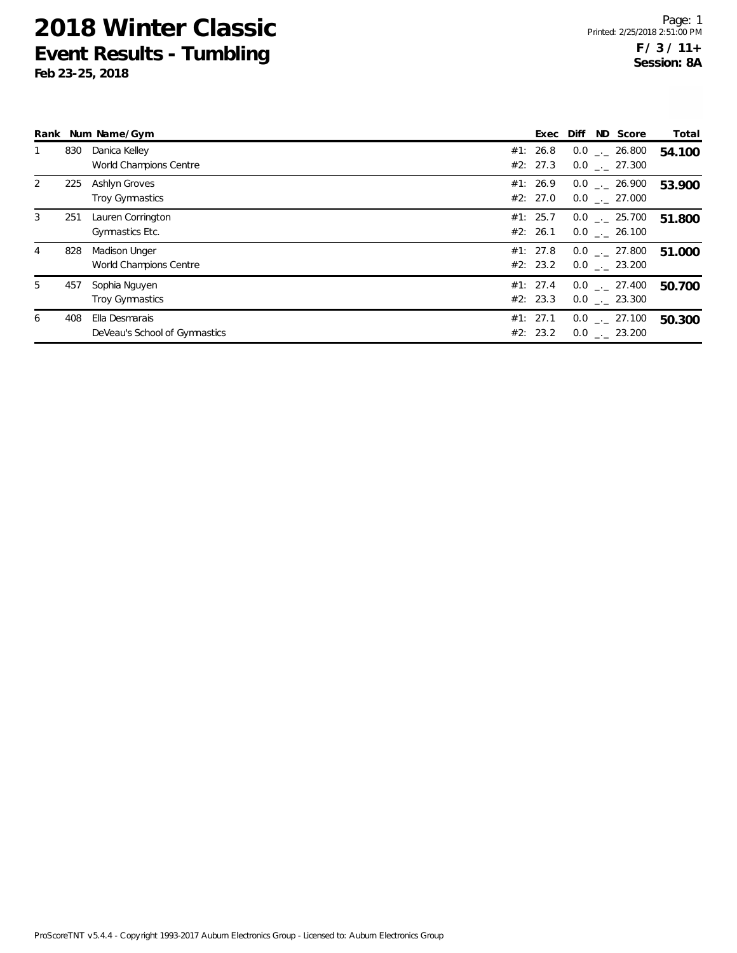|   |     | Rank Num Name/Gym                               | Exec                 | Diff | ND Score                             | Total  |
|---|-----|-------------------------------------------------|----------------------|------|--------------------------------------|--------|
|   | 830 | Danica Kelley<br>World Champions Centre         | #1: 26.8<br>#2: 27.3 |      | $0.0$ _._ 26.800<br>$0.0$ __ 27.300  | 54.100 |
| 2 | 225 | Ashlyn Groves<br><b>Troy Gymnastics</b>         | #1: 26.9<br>#2: 27.0 |      | $0.0$ . 26.900<br>$0.0$ . 27.000     | 53.900 |
| 3 | 251 | Lauren Corrington<br>Gymnastics Etc.            | #1: 25.7<br>#2: 26.1 |      | $0.0$ _._ 25.700<br>$0.0$ . 26.100   | 51.800 |
| 4 | 828 | <b>Madison Unger</b><br>World Champions Centre  | #1: 27.8<br>#2: 23.2 |      | $0.0$ _._ 27.800<br>$0.0$ _. 23.200  | 51.000 |
| 5 | 457 | Sophia Nguyen<br><b>Troy Gymnastics</b>         | #1: 27.4<br>#2: 23.3 |      | $0.0$ _._ 27.400<br>$0.0$ . 23.300   | 50.700 |
| 6 | 408 | Ella Desmarais<br>DeVeau's School of Gymnastics | #1: 27.1<br>#2: 23.2 |      | $0.0$ _._ 27.100<br>$0.0$ _._ 23.200 | 50.300 |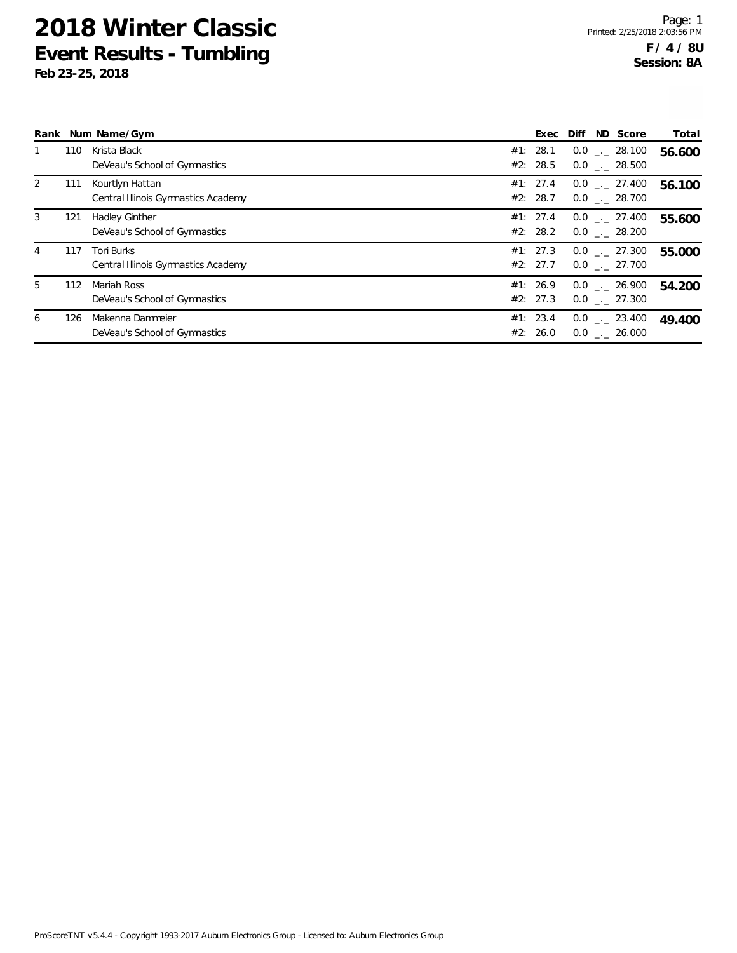|   |     | Rank Num Name/Gym                                      |                      | ND Score<br>Exec Diff                | Total  |
|---|-----|--------------------------------------------------------|----------------------|--------------------------------------|--------|
|   | 110 | Krista Black<br>DeVeau's School of Gymnastics          | #1: 28.1<br>#2: 28.5 | $0.0$ _._ 28.100<br>$0.0$ . 28.500   | 56.600 |
| 2 | 111 | Kourtlyn Hattan<br>Central Illinois Gymnastics Academy | #1: 27.4<br>#2: 28.7 | $0.0$ _._ 27.400<br>$0.0$ . 28.700   | 56.100 |
| 3 | 121 | <b>Hadley Ginther</b><br>DeVeau's School of Gymnastics | #1: 27.4<br>#2: 28.2 | $0.0$ _._ 27.400<br>$0.0$ _._ 28.200 | 55.600 |
| 4 | 117 | Tori Burks<br>Central Illinois Gymnastics Academy      | #1: 27.3<br>#2: 27.7 | $0.0$ _._ 27.300<br>$0.0$ . 27.700   | 55.000 |
| 5 | 112 | Mariah Ross<br>DeVeau's School of Gymnastics           | #1: 26.9<br>#2: 27.3 | $0.0$ _._ 26.900<br>$0.0$ . 27.300   | 54.200 |
| 6 | 126 | Makenna Dammeier<br>DeVeau's School of Gymnastics      | #1: 23.4<br>#2: 26.0 | $0.0$ _._ 23.400<br>$0.0$ . 26.000   | 49.400 |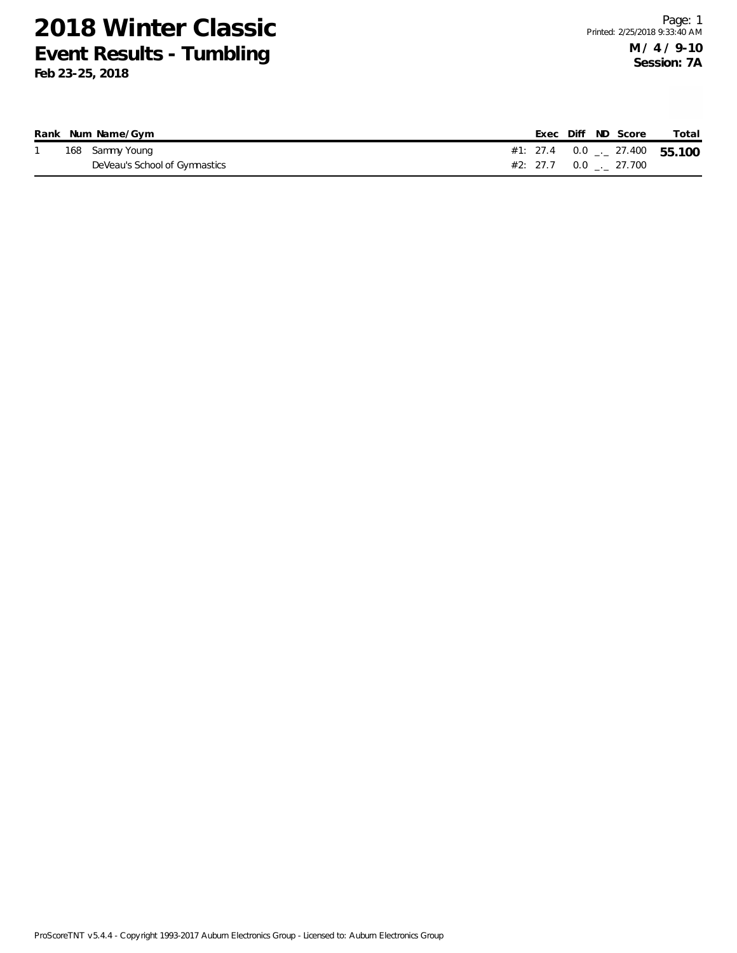|  | Rank Num Name/Gym             |  | Exec Diff ND Score             | Total |
|--|-------------------------------|--|--------------------------------|-------|
|  | 168 Sammy Young               |  | #1: 27.4 0.0 $-$ 27.400 55.100 |       |
|  | DeVeau's School of Gymnastics |  | #2: 27.7  0.0  .  27.700       |       |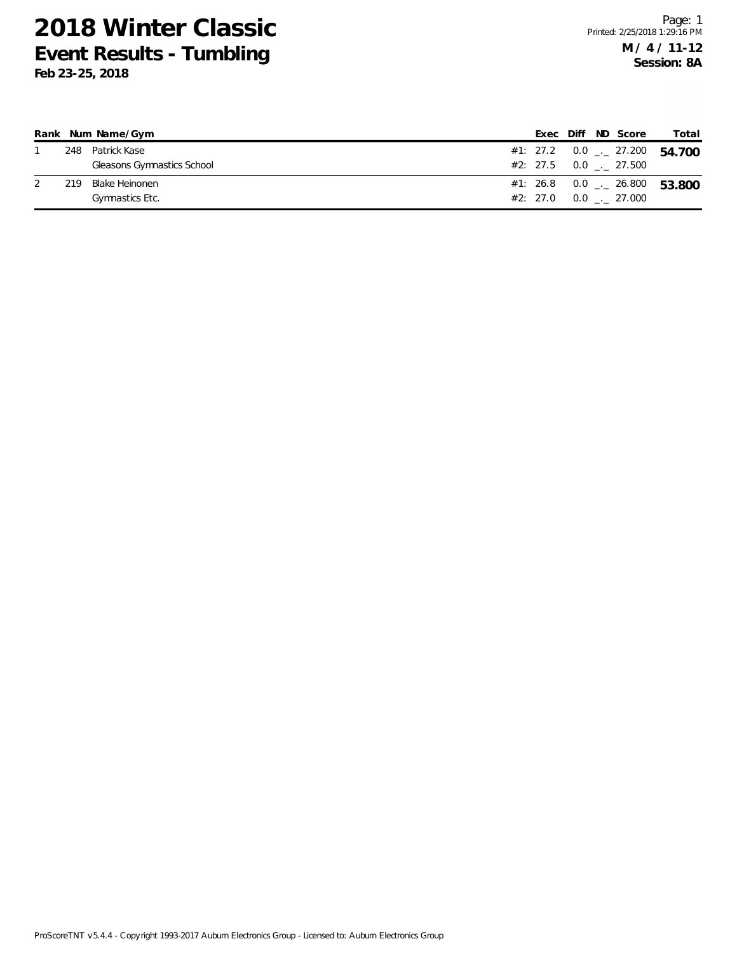|     | Rank Num Name/Gym          |  |  | Exec Diff ND Score        | Total                                        |
|-----|----------------------------|--|--|---------------------------|----------------------------------------------|
|     | 248 Patrick Kase           |  |  |                           | #1: 27.2 $0.0$ $_{\leftarrow}$ 27.200 54.700 |
|     | Gleasons Gymnastics School |  |  | $#2: 27.5 0.0$ $-.27.500$ |                                              |
| 219 | Blake Heinonen             |  |  |                           | #1: 26.8 0.0 $\frac{1}{2}$ 26.800 53.800     |
|     | Gymnastics Etc.            |  |  | #2: 27.0 0.0 . 27.000     |                                              |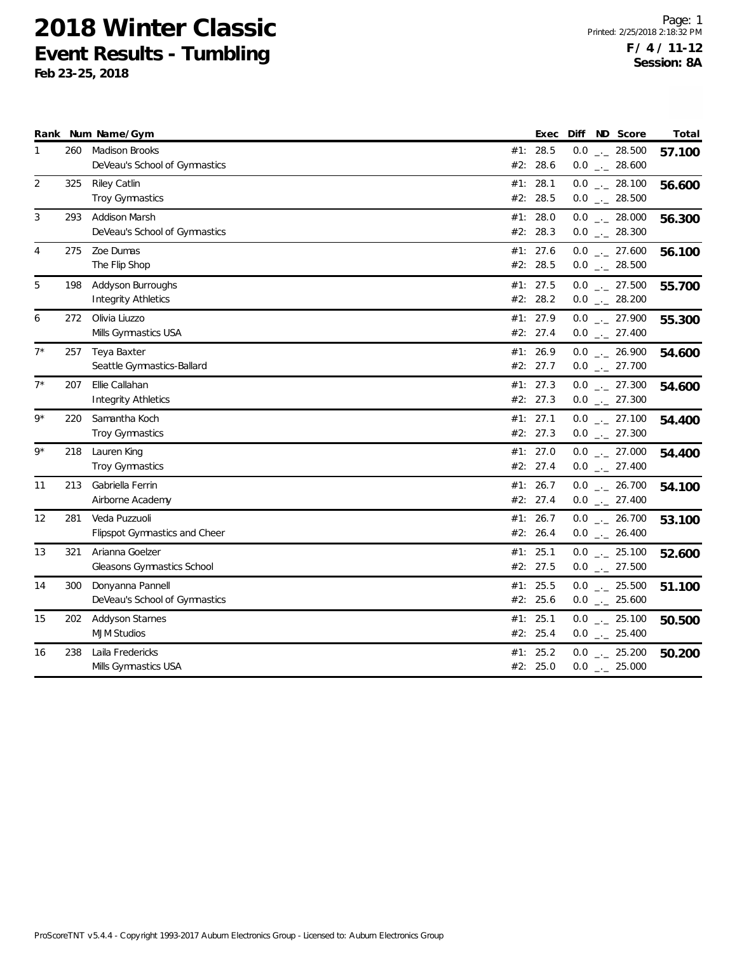|       |     | Rank Num Name/Gym                                      |            | Exec                   | ND Score<br>Diff                    | Total  |
|-------|-----|--------------------------------------------------------|------------|------------------------|-------------------------------------|--------|
| 1     | 260 | <b>Madison Brooks</b><br>DeVeau's School of Gymnastics |            | #1: 28.5<br>#2: 28.6   | $0.0$ _ 28.500<br>$0.0$ _ 28.600    | 57.100 |
| 2     | 325 | Riley Catlin<br>Troy Gymnastics                        | #1:<br>#2: | 28.1<br>28.5           | $0.0$ _ 28.100<br>$0.0$ _ 28.500    | 56.600 |
| 3     | 293 | Addison Marsh<br>DeVeau's School of Gymnastics         |            | #1: 28.0<br>#2: 28.3   | $0.0$ _ 28.000<br>$0.0$ _ 28.300    | 56.300 |
| 4     | 275 | Zoe Dumas<br>The Flip Shop                             | #2:        | #1: 27.6<br>28.5       | $0.0$ _ 27.600<br>$0.0$ _ 28.500    | 56.100 |
| 5     | 198 | Addyson Burroughs<br><b>Integrity Athletics</b>        |            | #1: $27.5$<br>#2: 28.2 | $0.0$ _ 27.500<br>$0.0$ _ 28.200    | 55.700 |
| 6     | 272 | Olivia Liuzzo<br>Mills Gymnastics USA                  |            | #1: 27.9<br>#2: 27.4   | $0.0$ _ 27.900<br>$0.0$ _ 27.400    | 55.300 |
| $7^*$ | 257 | Teya Baxter<br>Seattle Gymnastics-Ballard              |            | #1: 26.9<br>#2: 27.7   | $0.0$ _ 26.900<br>$0.0$ _ 27.700    | 54.600 |
| $7^*$ | 207 | Ellie Callahan<br>Integrity Athletics                  |            | #1: 27.3<br>#2: 27.3   | $0.0$ _ 27.300<br>$0.0$ _ 27.300    | 54.600 |
| $9*$  | 220 | Samantha Koch<br>Troy Gymnastics                       |            | #1: 27.1<br>#2: 27.3   | $0.0$ _ 27.100<br>$0.0$ _ 27.300    | 54.400 |
| $9*$  | 218 | Lauren King<br><b>Troy Gymnastics</b>                  |            | #1: 27.0<br>#2: 27.4   | $0.0$ _ 27.000<br>$0.0$ _ 27.400    | 54.400 |
| 11    | 213 | Gabriella Ferrin<br>Airborne Academy                   |            | #1: 26.7<br>#2: 27.4   | $0.0$ _ 26.700<br>$0.0$ _ 27.400    | 54.100 |
| 12    | 281 | Veda Puzzuoli<br>Flipspot Gymnastics and Cheer         | #1:        | 26.7<br>#2: 26.4       | $0.0$ _ 26.700<br>$0.0$ _ $-26.400$ | 53.100 |
| 13    | 321 | Arianna Goelzer<br>Gleasons Gymnastics School          | #1:        | 25.1<br>#2: 27.5       | $0.0$ _ 25.100<br>$0.0$ _ 27.500    | 52.600 |
| 14    | 300 | Donyanna Pannell<br>DeVeau's School of Gymnastics      |            | #1: 25.5<br>#2: 25.6   | $0.0$ _ 25.500<br>$0.0$ _ 25.600    | 51.100 |
| 15    | 202 | <b>Addyson Starnes</b><br><b>MJM Studios</b>           | #1:<br>#2: | 25.1<br>25.4           | $0.0$ _ 25.100<br>$0.0$ _ 25.400    | 50.500 |
| 16    | 238 | Laila Fredericks<br>Mills Gymnastics USA               | #1:        | 25.2<br>#2: 25.0       | $0.0$ _ 25.200<br>$0.0$ _ 25.000    | 50.200 |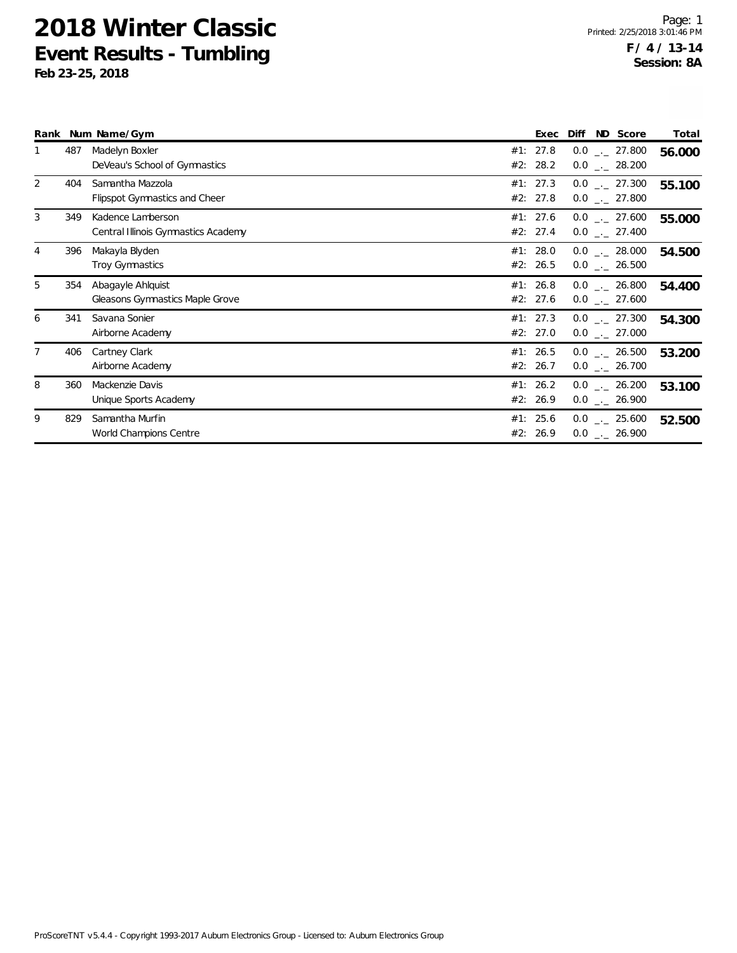|   |     | Rank Num Name/Gym                                        | Exec                 | Diff                                 | ND Score | Total  |
|---|-----|----------------------------------------------------------|----------------------|--------------------------------------|----------|--------|
|   | 487 | Madelyn Boxler<br>DeVeau's School of Gymnastics          | #1: 27.8<br>#2: 28.2 | $0.0$ _._ 27.800<br>$0.0$ _ 28.200   |          | 56.000 |
| 2 | 404 | Samantha Mazzola<br><b>Flipspot Gymnastics and Cheer</b> | #1: 27.3<br>#2: 27.8 | $0.0$ _ 27.300<br>$0.0$ _._ 27.800   |          | 55.100 |
| 3 | 349 | Kadence Lamberson<br>Central Illinois Gymnastics Academy | #1: 27.6<br>#2: 27.4 | $0.0$ _._ 27.600<br>$0.0$ _._ 27.400 |          | 55.000 |
| 4 | 396 | Makayla Blyden<br><b>Troy Gymnastics</b>                 | #1: 28.0<br>#2: 26.5 | $0.0$ _._ 28.000<br>$0.0$ _._ 26.500 |          | 54.500 |
| 5 | 354 | Abagayle Ahlquist<br>Gleasons Gymnastics Maple Grove     | #1: 26.8<br>#2: 27.6 | $0.0$ _ 26.800<br>$0.0$ _ 27.600     |          | 54.400 |
| 6 | 341 | Savana Sonier<br>Airborne Academy                        | #1: 27.3<br>#2: 27.0 | $0.0$ _._ 27.300<br>$0.0$ _._ 27.000 |          | 54.300 |
|   | 406 | Cartney Clark<br>Airborne Academy                        | #1: 26.5<br>#2: 26.7 | $0.0$ _._ 26.500<br>$0.0$ _ 26.700   |          | 53.200 |
| 8 | 360 | Mackenzie Davis<br>Unique Sports Academy                 | #1: 26.2<br>#2: 26.9 | $0.0$ _._ 26.200<br>$0.0$ _._ 26.900 |          | 53.100 |
| 9 | 829 | Samantha Murfin<br>World Champions Centre                | #1: 25.6<br>#2: 26.9 | $0.0$ _._ 25.600<br>$0.0$ _ 26.900   |          | 52.500 |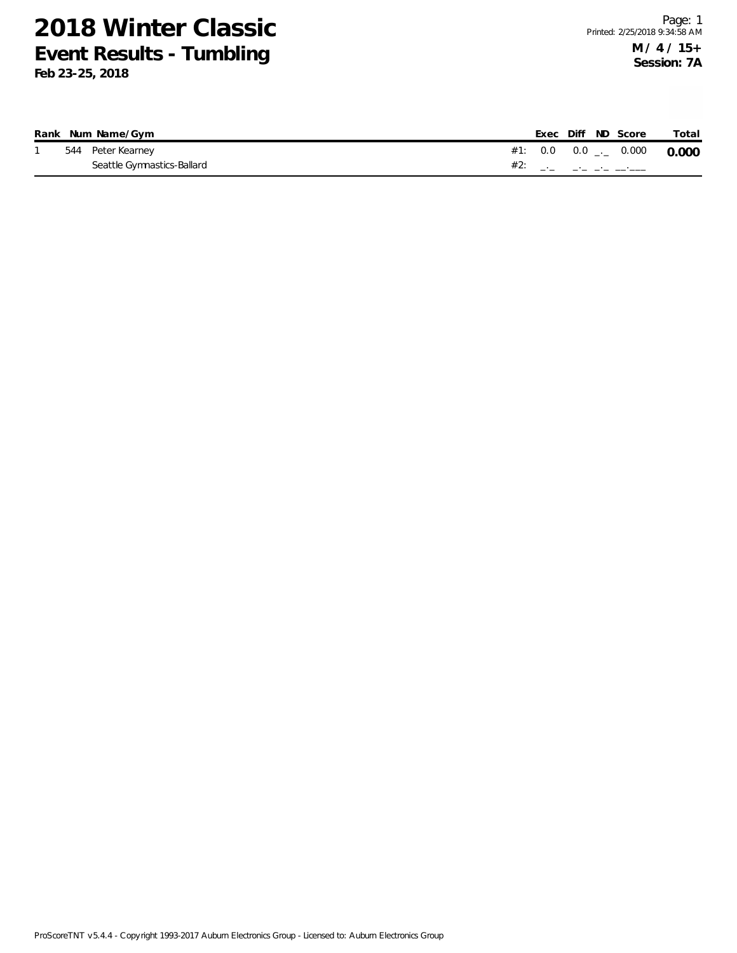|  | Rank Num Name/Gym          |  |  | Exec Diff ND Score                                                                                                                                                                                                                                                                                                     | Total |
|--|----------------------------|--|--|------------------------------------------------------------------------------------------------------------------------------------------------------------------------------------------------------------------------------------------------------------------------------------------------------------------------|-------|
|  | 544 Peter Kearney          |  |  | #1: 0.0 0.0 $_{-}$ 0.000 0.000                                                                                                                                                                                                                                                                                         |       |
|  | Seattle Gymnastics-Ballard |  |  | #2: $\frac{1}{2}$ $\frac{1}{2}$ $\frac{1}{2}$ $\frac{1}{2}$ $\frac{1}{2}$ $\frac{1}{2}$ $\frac{1}{2}$ $\frac{1}{2}$ $\frac{1}{2}$ $\frac{1}{2}$ $\frac{1}{2}$ $\frac{1}{2}$ $\frac{1}{2}$ $\frac{1}{2}$ $\frac{1}{2}$ $\frac{1}{2}$ $\frac{1}{2}$ $\frac{1}{2}$ $\frac{1}{2}$ $\frac{1}{2}$ $\frac{1}{2}$ $\frac{1}{2$ |       |